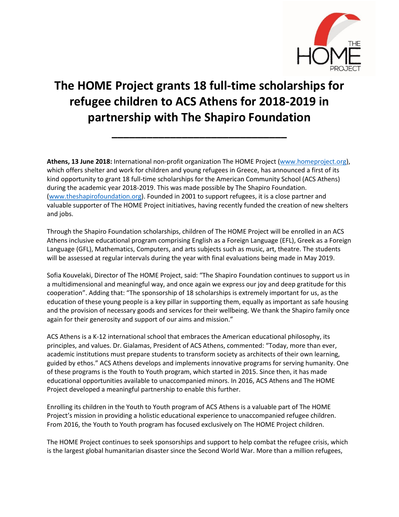

# **The HOME Project grants 18 full-time scholarships for refugee children to ACS Athens for 2018-2019 in partnership with The Shapiro Foundation**

**\_\_\_\_\_\_\_\_\_\_\_\_\_\_\_\_\_\_\_\_\_\_\_\_\_\_\_\_\_\_**

**Athens, 13 June 2018:** International non-profit organization The HOME Project [\(www.homeproject.org\)](http://www.homeproject.org/), which offers shelter and work for children and young refugees in Greece, has announced a first of its kind opportunity to grant 18 full-time scholarships for the American Community School (ACS Athens) during the academic year 2018-2019. This was made possible by The Shapiro Foundation. [\(www.theshapirofoundation.org\)](http://www.theshapirofoundation.org/). Founded in 2001 to support refugees, it is a close partner and valuable supporter of The HOME Project initiatives, having recently funded the creation of new shelters and jobs.

Through the Shapiro Foundation scholarships, children of The HOME Project will be enrolled in an ACS Athens inclusive educational program comprising English as a Foreign Language (EFL), Greek as a Foreign Language (GFL), Mathematics, Computers, and arts subjects such as music, art, theatre. The students will be assessed at regular intervals during the year with final evaluations being made in May 2019.

Sofia Kouvelaki, Director of The HOME Project, said: "The Shapiro Foundation continues to support us in a multidimensional and meaningful way, and once again we express our joy and deep gratitude for this cooperation". Adding that: "The sponsorship of 18 scholarships is extremely important for us, as the education of these young people is a key pillar in supporting them, equally as important as safe housing and the provision of necessary goods and services for their wellbeing. We thank the Shapiro family once again for their generosity and support of our aims and mission."

ACS Athens is a K-12 international school that embraces the American educational philosophy, its principles, and values. Dr. Gialamas, President of ACS Athens, commented: "Today, more than ever, academic institutions must prepare students to transform society as architects of their own learning, guided by ethos." ACS Athens develops and implements innovative programs for serving humanity. One of these programs is the Youth to Youth program, which started in 2015. Since then, it has made educational opportunities available to unaccompanied minors. In 2016, ACS Athens and The HOME Project developed a meaningful partnership to enable this further.

Enrolling its children in the Youth to Youth program of ACS Athens is a valuable part of The HOME Project's mission in providing a holistic educational experience to unaccompanied refugee children. From 2016, the Youth to Youth program has focused exclusively on The HOME Project children.

The HOME Project continues to seek sponsorships and support to help combat the refugee crisis, which is the largest global humanitarian disaster since the Second World War. More than a million refugees,